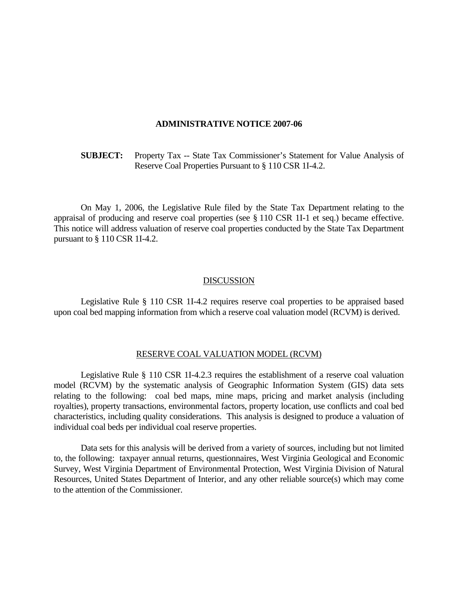## **ADMINISTRATIVE NOTICE 2007-06**

 **SUBJECT:** Property Tax -- State Tax Commissioner's Statement for Value Analysis of Reserve Coal Properties Pursuant to § 110 CSR 1I-4.2.

 On May 1, 2006, the Legislative Rule filed by the State Tax Department relating to the appraisal of producing and reserve coal properties (see § 110 CSR 1I-1 et seq.) became effective. This notice will address valuation of reserve coal properties conducted by the State Tax Department pursuant to § 110 CSR 1I-4.2.

## **DISCUSSION**

 Legislative Rule § 110 CSR 1I-4.2 requires reserve coal properties to be appraised based upon coal bed mapping information from which a reserve coal valuation model (RCVM) is derived.

## RESERVE COAL VALUATION MODEL (RCVM)

 Legislative Rule § 110 CSR 1I-4.2.3 requires the establishment of a reserve coal valuation model (RCVM) by the systematic analysis of Geographic Information System (GIS) data sets relating to the following: coal bed maps, mine maps, pricing and market analysis (including royalties), property transactions, environmental factors, property location, use conflicts and coal bed characteristics, including quality considerations. This analysis is designed to produce a valuation of individual coal beds per individual coal reserve properties.

 Data sets for this analysis will be derived from a variety of sources, including but not limited to, the following: taxpayer annual returns, questionnaires, West Virginia Geological and Economic Survey, West Virginia Department of Environmental Protection, West Virginia Division of Natural Resources, United States Department of Interior, and any other reliable source(s) which may come to the attention of the Commissioner.